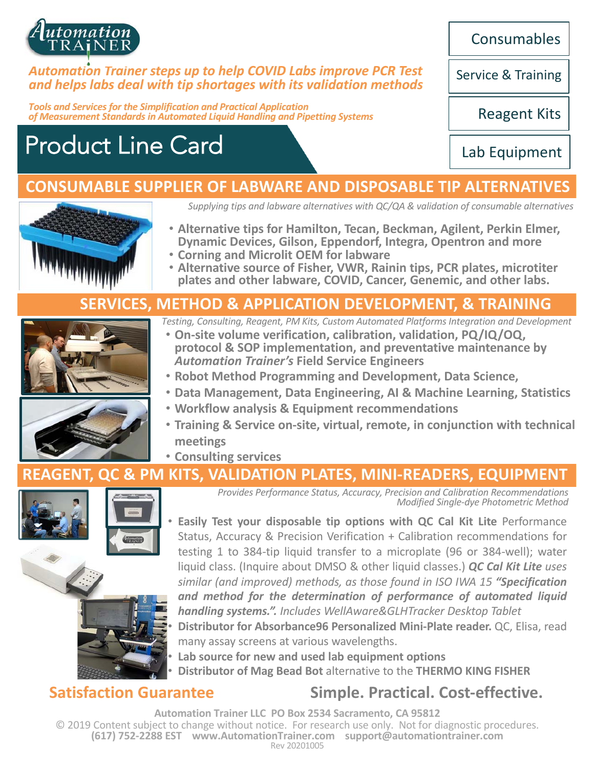

#### *Automation Trainer steps up to help COVID Labs improve PCR Test and helps labs deal with tip shortages with its validation methods*

*Tools and Services for the Simplification and Practical Application of Measurement Standards in Automated Liquid Handling and Pipetting Systems*

# Product Line Card

**Consumables** 

Service & Training

Reagent Kits

Lab Equipment

### **CONSUMABLE SUPPLIER OF LABWARE AND DISPOSABLE TIP ALTERNATIVES**



*Supplying tips and labware alternatives with QC/QA & validation of consumable alternatives*

- **Alternative tips for Hamilton, Tecan, Beckman, Agilent, Perkin Elmer,**
- 
- **Dynamic Devices, Gilson, Eppendorf, Integra, Opentron and more Corning and Microlit OEM for labware Alternative source of Fisher, VWR, Rainin tips, PCR plates, microtiter plates and other labware, COVID, Cancer, Genemic, and other labs.**

#### **SERVICES, METHOD & APPLICATION DEVELOPMENT, & TRAINING**



- *Testing, Consulting, Reagent, PM Kits, Custom Automated Platforms Integration and Development*
- **On-site volume verification, calibration, validation, PQ/IQ/OQ, protocol & SOP implementation, and preventative maintenance by**  *Automation Trainer's* **Field Service Engineers**
- **Robot Method Programming and Development, Data Science,**
- **Data Management, Data Engineering, AI & Machine Learning, Statistics**
- **Workflow analysis & Equipment recommendations**
- **Training & Service on-site, virtual, remote, in conjunction with technical meetings**
- **Consulting services**

#### **REAGENT, QC & PM KITS, VALIDATION PLATES, MINI-READERS, EQUIPMENT**





*Provides Performance Status, Accuracy, Precision and Calibration Recommendations Modified Single-dye Photometric Method*

• **Easily Test your disposable tip options with QC Cal Kit Lite** Performance Status, Accuracy & Precision Verification + Calibration recommendations for testing 1 to 384-tip liquid transfer to a microplate (96 or 384-well); water liquid class. (Inquire about DMSO & other liquid classes.) *QC Cal Kit Lite uses similar (and improved) methods, as those found in ISO IWA 15 "Specification and method for the determination of performance of automated liquid handling systems.". Includes WellAware&GLHTracker Desktop Tablet* • **Distributor for Absorbance96 Personalized Mini-Plate reader.** QC, Elisa, read



• **Lab source for new and used lab equipment options**

• **Distributor of Mag Bead Bot** alternative to the **THERMO KING FISHER**

### **Satisfaction Guarantee Simple. Practical. Cost-effective.**

**Automation Trainer LLC PO Box 2534 Sacramento, CA 95812** © 2019 Content subject to change without notice. For research use only. Not for diagnostic procedures. **(617) 752-2288 EST www.AutomationTrainer.com support@automationtrainer.com** Rev 20201005